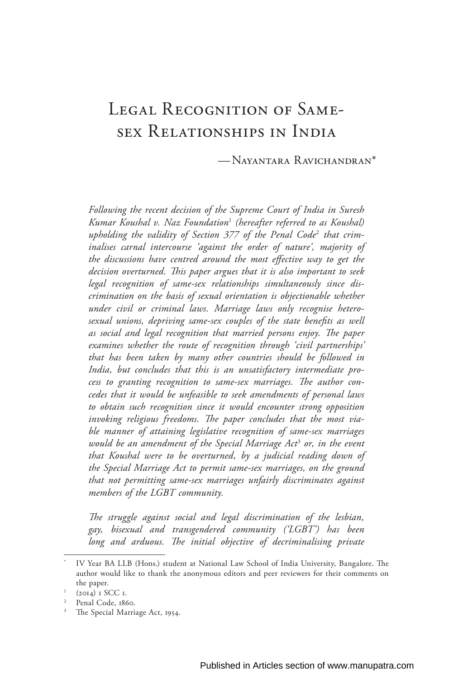# Legal Recognition of Samesex Relationships in India

—Nayantara Ravichandran\*

*Following the recent decision of the Supreme Court of India in Suresh Kumar Koushal v. Naz Foundation*<sup>1</sup>  *(hereafter referred to as Koushal) upholding the validity of Section 377 of the Penal Code*<sup>2</sup>  *that criminalises carnal intercourse 'against the order of nature', majority of the discussions have centred around the most effective way to get the decision overturned. This paper argues that it is also important to seek legal recognition of same-sex relationships simultaneously since discrimination on the basis of sexual orientation is objectionable whether under civil or criminal laws. Marriage laws only recognise heterosexual unions, depriving same-sex couples of the state benefits as well as social and legal recognition that married persons enjoy. The paper examines whether the route of recognition through 'civil partnerships' that has been taken by many other countries should be followed in India, but concludes that this is an unsatisfactory intermediate process to granting recognition to same-sex marriages. The author concedes that it would be unfeasible to seek amendments of personal laws to obtain such recognition since it would encounter strong opposition invoking religious freedoms. The paper concludes that the most viable manner of attaining legislative recognition of same-sex marriages would be an amendment of the Special Marriage Act*<sup>3</sup>  *or, in the event that Koushal were to be overturned, by a judicial reading down of the Special Marriage Act to permit same-sex marriages, on the ground that not permitting same-sex marriages unfairly discriminates against members of the LGBT community.*

*The struggle against social and legal discrimination of the lesbian, gay, bisexual and transgendered community ('LGBT') has been*  long and arduous. The initial objective of decriminalising private

IV Year BA LLB (Hons.) student at National Law School of India University, Bangalore. The author would like to thank the anonymous editors and peer reviewers for their comments on the paper.

<sup>1</sup> (2014) 1 SCC 1.

Penal Code, 1860.

<sup>&</sup>lt;sup>3</sup> The Special Marriage Act, 1954.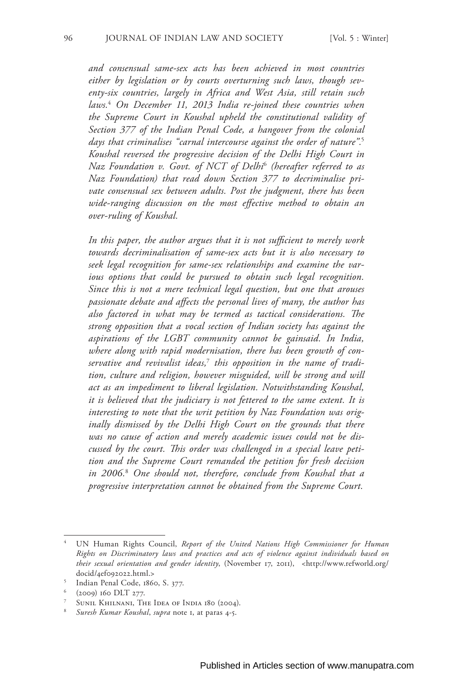*and consensual same-sex acts has been achieved in most countries either by legislation or by courts overturning such laws, though seventy-six countries, largely in Africa and West Asia, still retain such laws.*<sup>4</sup>  *On December 11, 2013 India re-joined these countries when the Supreme Court in Koushal upheld the constitutional validity of Section 377 of the Indian Penal Code, a hangover from the colonial days that criminalises "carnal intercourse against the order of nature".*<sup>5</sup> *Koushal reversed the progressive decision of the Delhi High Court in Naz Foundation v. Govt. of NCT of Delhi*<sup>6</sup>  *(hereafter referred to as Naz Foundation) that read down Section 377 to decriminalise private consensual sex between adults. Post the judgment, there has been wide-ranging discussion on the most effective method to obtain an over-ruling of Koushal.*

*In this paper, the author argues that it is not sufficient to merely work towards decriminalisation of same-sex acts but it is also necessary to seek legal recognition for same-sex relationships and examine the various options that could be pursued to obtain such legal recognition. Since this is not a mere technical legal question, but one that arouses passionate debate and affects the personal lives of many, the author has also factored in what may be termed as tactical considerations. The strong opposition that a vocal section of Indian society has against the aspirations of the LGBT community cannot be gainsaid. In India, where along with rapid modernisation, there has been growth of conservative and revivalist ideas,*<sup>7</sup>  *this opposition in the name of tradition, culture and religion, however misguided, will be strong and will act as an impediment to liberal legislation. Notwithstanding Koushal, it is believed that the judiciary is not fettered to the same extent. It is interesting to note that the writ petition by Naz Foundation was originally dismissed by the Delhi High Court on the grounds that there was no cause of action and merely academic issues could not be discussed by the court. This order was challenged in a special leave petition and the Supreme Court remanded the petition for fresh decision in 2006.*<sup>8</sup>  *One should not, therefore, conclude from Koushal that a progressive interpretation cannot be obtained from the Supreme Court.*

<sup>4</sup> UN Human Rights Council, *Report of the United Nations High Commissioner for Human Rights on Discriminatory laws and practices and acts of violence against individuals based on their sexual orientation and gender identity*, (November 17, 2011), <http://www.refworld.org/ docid/4ef092022.html.>

<sup>5</sup> Indian Penal Code, 1860, S. 377.

<sup>6</sup> (2009) 160 DLT 277.

SUNIL KHILNANI, THE IDEA OF INDIA 180 (2004).

<sup>8</sup> *Suresh Kumar Koushal*, *supra* note 1, at paras 4-5.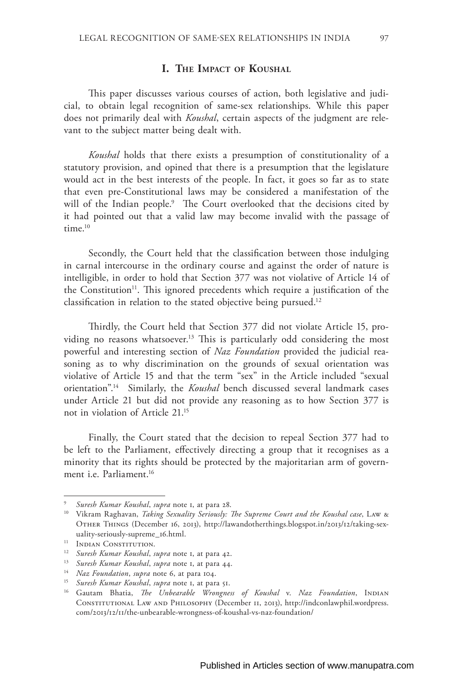## **I. The Impact of Koushal**

This paper discusses various courses of action, both legislative and judicial, to obtain legal recognition of same-sex relationships. While this paper does not primarily deal with *Koushal*, certain aspects of the judgment are relevant to the subject matter being dealt with.

*Koushal* holds that there exists a presumption of constitutionality of a statutory provision, and opined that there is a presumption that the legislature would act in the best interests of the people. In fact, it goes so far as to state that even pre-Constitutional laws may be considered a manifestation of the will of the Indian people.9 The Court overlooked that the decisions cited by it had pointed out that a valid law may become invalid with the passage of  $time<sup>10</sup>$ 

Secondly, the Court held that the classification between those indulging in carnal intercourse in the ordinary course and against the order of nature is intelligible, in order to hold that Section 377 was not violative of Article 14 of the Constitution<sup>11</sup>. This ignored precedents which require a justification of the classification in relation to the stated objective being pursued.12

Thirdly, the Court held that Section 377 did not violate Article 15, providing no reasons whatsoever.<sup>13</sup> This is particularly odd considering the most powerful and interesting section of *Naz Foundation* provided the judicial reasoning as to why discrimination on the grounds of sexual orientation was violative of Article 15 and that the term "sex" in the Article included "sexual orientation".14 Similarly, the *Koushal* bench discussed several landmark cases under Article 21 but did not provide any reasoning as to how Section 377 is not in violation of Article 21.15

Finally, the Court stated that the decision to repeal Section 377 had to be left to the Parliament, effectively directing a group that it recognises as a minority that its rights should be protected by the majoritarian arm of government i.e. Parliament.16

<sup>9</sup> *Suresh Kumar Koushal*, *supra* note 1, at para 28.

<sup>10</sup> Vikram Raghavan, *Taking Sexuality Seriously: The Supreme Court and the Koushal case*, Law & Other Things (December 16, 2013), http://lawandotherthings.blogspot.in/2013/12/taking-sexuality-seriously-supreme\_16.html.

<sup>&</sup>lt;sup>11</sup> Indian Constitution.

<sup>12</sup> *Suresh Kumar Koushal*, *supra* note 1, at para 42.

<sup>13</sup> *Suresh Kumar Koushal*, *supra* note 1, at para 44.

<sup>14</sup> *Naz Foundation*, *supra* note 6, at para 104.

<sup>15</sup> *Suresh Kumar Koushal*, *supra* note 1, at para 51.

<sup>&</sup>lt;sup>16</sup> Gautam Bhatia, *The Unbearable Wrongness of Koushal v. Naz Foundation*, INDIAN Constitutional Law and Philosophy (December 11, 2013), http://indconlawphil.wordpress. com/2013/12/11/the-unbearable-wrongness-of-koushal-vs-naz-foundation/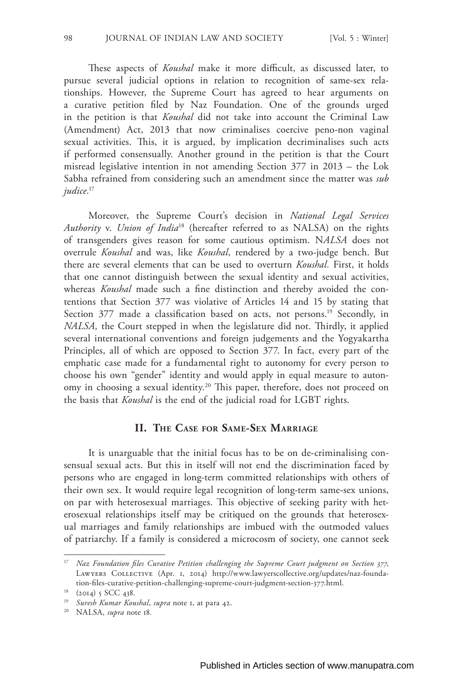These aspects of *Koushal* make it more difficult, as discussed later, to pursue several judicial options in relation to recognition of same-sex relationships. However, the Supreme Court has agreed to hear arguments on a curative petition filed by Naz Foundation. One of the grounds urged in the petition is that *Koushal* did not take into account the Criminal Law (Amendment) Act, 2013 that now criminalises coercive peno-non vaginal sexual activities. This, it is argued, by implication decriminalises such acts if performed consensually. Another ground in the petition is that the Court misread legislative intention in not amending Section 377 in 2013 – the Lok Sabha refrained from considering such an amendment since the matter was *sub judice*. 17

Moreover, the Supreme Court's decision in *National Legal Services Authority* v. *Union of India*<sup>18</sup> (hereafter referred to as NALSA) on the rights of transgenders gives reason for some cautious optimism. N*ALSA* does not overrule *Koushal* and was, like *Koushal*, rendered by a two-judge bench. But there are several elements that can be used to overturn *Koushal.* First, it holds that one cannot distinguish between the sexual identity and sexual activities, whereas *Koushal* made such a fine distinction and thereby avoided the contentions that Section 377 was violative of Articles 14 and 15 by stating that Section 377 made a classification based on acts, not persons.<sup>19</sup> Secondly, in *NALSA,* the Court stepped in when the legislature did not. Thirdly, it applied several international conventions and foreign judgements and the Yogyakartha Principles, all of which are opposed to Section 377. In fact, every part of the emphatic case made for a fundamental right to autonomy for every person to choose his own "gender" identity and would apply in equal measure to autonomy in choosing a sexual identity.<sup>20</sup> This paper, therefore, does not proceed on the basis that *Koushal* is the end of the judicial road for LGBT rights.

## **II. The Case for Same-Sex Marriage**

It is unarguable that the initial focus has to be on de-criminalising consensual sexual acts. But this in itself will not end the discrimination faced by persons who are engaged in long-term committed relationships with others of their own sex. It would require legal recognition of long-term same-sex unions, on par with heterosexual marriages. This objective of seeking parity with heterosexual relationships itself may be critiqued on the grounds that heterosexual marriages and family relationships are imbued with the outmoded values of patriarchy. If a family is considered a microcosm of society, one cannot seek

<sup>17</sup> *Naz Foundation files Curative Petition challenging the Supreme Court judgment on Section 377*, Lawyers Collective (Apr. 1, 2014) http://www.lawyerscollective.org/updates/naz-foundation-files-curative-petition-challenging-supreme-court-judgment-section-377.html.

<sup>&</sup>lt;sup>18</sup> (2014) 5 SCC 438.

<sup>19</sup> *Suresh Kumar Koushal*, *supra* note 1, at para 42.

<sup>20</sup> NALSA, *supra* note 18.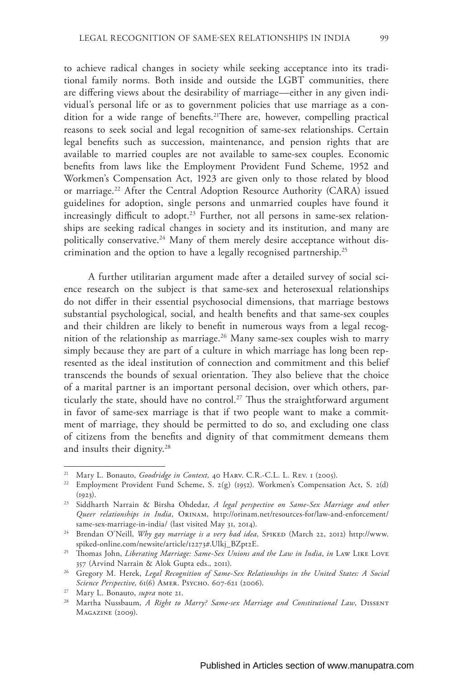to achieve radical changes in society while seeking acceptance into its traditional family norms. Both inside and outside the LGBT communities, there are differing views about the desirability of marriage—either in any given individual's personal life or as to government policies that use marriage as a condition for a wide range of benefits.<sup>21</sup>There are, however, compelling practical reasons to seek social and legal recognition of same-sex relationships. Certain legal benefits such as succession, maintenance, and pension rights that are available to married couples are not available to same-sex couples. Economic benefits from laws like the Employment Provident Fund Scheme, 1952 and Workmen's Compensation Act, 1923 are given only to those related by blood or marriage.<sup>22</sup> After the Central Adoption Resource Authority (CARA) issued guidelines for adoption, single persons and unmarried couples have found it increasingly difficult to adopt.<sup>23</sup> Further, not all persons in same-sex relationships are seeking radical changes in society and its institution, and many are politically conservative.<sup>24</sup> Many of them merely desire acceptance without discrimination and the option to have a legally recognised partnership.25

A further utilitarian argument made after a detailed survey of social science research on the subject is that same-sex and heterosexual relationships do not differ in their essential psychosocial dimensions, that marriage bestows substantial psychological, social, and health benefits and that same-sex couples and their children are likely to benefit in numerous ways from a legal recognition of the relationship as marriage.<sup>26</sup> Many same-sex couples wish to marry simply because they are part of a culture in which marriage has long been represented as the ideal institution of connection and commitment and this belief transcends the bounds of sexual orientation. They also believe that the choice of a marital partner is an important personal decision, over which others, particularly the state, should have no control.<sup>27</sup> Thus the straightforward argument in favor of same-sex marriage is that if two people want to make a commitment of marriage, they should be permitted to do so, and excluding one class of citizens from the benefits and dignity of that commitment demeans them and insults their dignity.<sup>28</sup>

<sup>&</sup>lt;sup>21</sup> Mary L. Bonauto, *Goodridge in Context*, 40 HARV. C.R.-C.L. L. REV. 1 (2005).

<sup>&</sup>lt;sup>22</sup> Employment Provident Fund Scheme, S. 2(g) (1952). Workmen's Compensation Act, S. 2(d)  $(1923).$ 

<sup>23</sup> Siddharth Narrain & Birsha Ohdedar, *A legal perspective on Same-Sex Marriage and other Queer relationships in India*, Orinam, http://orinam.net/resources-for/law-and-enforcement/ same-sex-marriage-in-india/ (last visited May 31, 2014).

<sup>&</sup>lt;sup>24</sup> Brendan O'Neill, *Why gay marriage is a very bad idea*, SPIKED (March 22, 2012) http://www. spiked-online.com/newsite/article/12273#.Ulkj\_BZpt2E.

<sup>25</sup> Thomas John, *Liberating Marriage: Same-Sex Unions and the Law in India*, *in* Law Like Love 357 (Arvind Narrain & Alok Gupta eds., 2011).

<sup>26</sup> Gregory M. Herek, *Legal Recognition of Same-Sex Relationships in the United States: A Social Science Perspective,* 61(6) Amer. Psycho. 607-621 (2006).

<sup>27</sup> Mary L. Bonauto, *supra* note 21.

<sup>&</sup>lt;sup>28</sup> Martha Nussbaum, *A Right to Marry? Same-sex Marriage and Constitutional Law*, DISSENT Magazine (2009).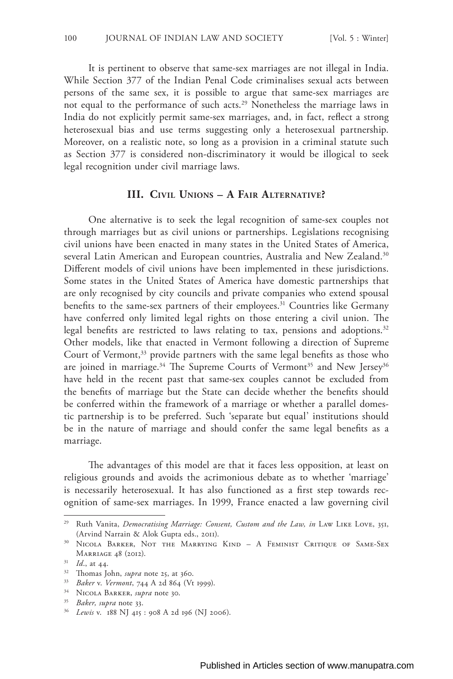It is pertinent to observe that same-sex marriages are not illegal in India. While Section 377 of the Indian Penal Code criminalises sexual acts between persons of the same sex, it is possible to argue that same-sex marriages are not equal to the performance of such acts.<sup>29</sup> Nonetheless the marriage laws in India do not explicitly permit same-sex marriages, and, in fact, reflect a strong heterosexual bias and use terms suggesting only a heterosexual partnership. Moreover, on a realistic note, so long as a provision in a criminal statute such as Section 377 is considered non-discriminatory it would be illogical to seek legal recognition under civil marriage laws.

# **III. Civil Unions – A Fair Alternative?**

One alternative is to seek the legal recognition of same-sex couples not through marriages but as civil unions or partnerships. Legislations recognising civil unions have been enacted in many states in the United States of America, several Latin American and European countries, Australia and New Zealand.<sup>30</sup> Different models of civil unions have been implemented in these jurisdictions. Some states in the United States of America have domestic partnerships that are only recognised by city councils and private companies who extend spousal benefits to the same-sex partners of their employees.<sup>31</sup> Countries like Germany have conferred only limited legal rights on those entering a civil union. The legal benefits are restricted to laws relating to tax, pensions and adoptions.<sup>32</sup> Other models, like that enacted in Vermont following a direction of Supreme Court of Vermont,<sup>33</sup> provide partners with the same legal benefits as those who are joined in marriage.<sup>34</sup> The Supreme Courts of Vermont<sup>35</sup> and New Jersey<sup>36</sup> have held in the recent past that same-sex couples cannot be excluded from the benefits of marriage but the State can decide whether the benefits should be conferred within the framework of a marriage or whether a parallel domestic partnership is to be preferred. Such 'separate but equal' institutions should be in the nature of marriage and should confer the same legal benefits as a marriage.

The advantages of this model are that it faces less opposition, at least on religious grounds and avoids the acrimonious debate as to whether 'marriage' is necessarily heterosexual. It has also functioned as a first step towards recognition of same-sex marriages. In 1999, France enacted a law governing civil

<sup>29</sup> Ruth Vanita, *Democratising Marriage: Consent, Custom and the Law, in* Law Like Love, 351, (Arvind Narrain & Alok Gupta eds., 2011).

<sup>30</sup> Nicola Barker, Not the Marrying Kind – A Feminist Critique of Same-Sex Marriage 48 (2012).

<sup>31</sup> *Id*., at 44.

<sup>32</sup> Thomas John, *supra* note 25, at 360.

<sup>33</sup> *Baker* v. *Vermont*, 744 A 2d 864 (Vt 1999).

<sup>34</sup> Nicola Barker, *supra* note 30.

<sup>35</sup> *Baker, supra* note 33.

<sup>36</sup> *Lewis* v. 188 NJ 415 : 908 A 2d 196 (NJ 2006).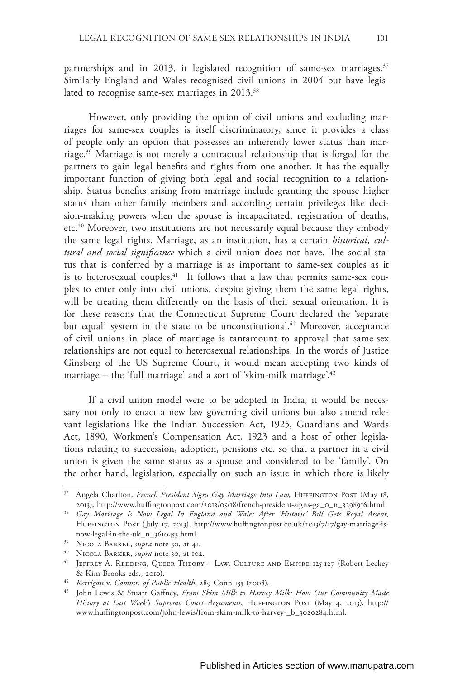partnerships and in 2013, it legislated recognition of same-sex marriages.<sup>37</sup> Similarly England and Wales recognised civil unions in 2004 but have legislated to recognise same-sex marriages in 2013.<sup>38</sup>

However, only providing the option of civil unions and excluding marriages for same-sex couples is itself discriminatory, since it provides a class of people only an option that possesses an inherently lower status than marriage.39 Marriage is not merely a contractual relationship that is forged for the partners to gain legal benefits and rights from one another. It has the equally important function of giving both legal and social recognition to a relationship. Status benefits arising from marriage include granting the spouse higher status than other family members and according certain privileges like decision-making powers when the spouse is incapacitated, registration of deaths, etc.40 Moreover, two institutions are not necessarily equal because they embody the same legal rights. Marriage, as an institution, has a certain *historical, cultural and social significance* which a civil union does not have. The social status that is conferred by a marriage is as important to same-sex couples as it is to heterosexual couples.<sup>41</sup> It follows that a law that permits same-sex couples to enter only into civil unions, despite giving them the same legal rights, will be treating them differently on the basis of their sexual orientation. It is for these reasons that the Connecticut Supreme Court declared the 'separate but equal' system in the state to be unconstitutional.<sup>42</sup> Moreover, acceptance of civil unions in place of marriage is tantamount to approval that same-sex relationships are not equal to heterosexual relationships. In the words of Justice Ginsberg of the US Supreme Court, it would mean accepting two kinds of marriage – the 'full marriage' and a sort of 'skim-milk marriage'.43

If a civil union model were to be adopted in India, it would be necessary not only to enact a new law governing civil unions but also amend relevant legislations like the Indian Succession Act, 1925, Guardians and Wards Act, 1890, Workmen's Compensation Act, 1923 and a host of other legislations relating to succession, adoption, pensions etc. so that a partner in a civil union is given the same status as a spouse and considered to be 'family'. On the other hand, legislation, especially on such an issue in which there is likely

<sup>&</sup>lt;sup>37</sup> Angela Charlton, *French President Signs Gay Marriage Into Law*, HUFFINGTON POST (May 18, 2013), http://www.huffingtonpost.com/2013/05/18/french-president-signs-ga\_0\_n\_3298916.html.

<sup>38</sup> *Gay Marriage Is Now Legal In England and Wales After 'Historic' Bill Gets Royal Assent,*  Huffington Post (July 17, 2013), http://www.huffingtonpost.co.uk/2013/7/17/gay-marriage-isnow-legal-in-the-uk\_n\_3610453.html.

<sup>39</sup> Nicola Barker, *supra* note 30, at 41.

<sup>40</sup> Nicola Barker, *supra* note 30, at 102.

<sup>&</sup>lt;sup>41</sup> JEFFREY A. REDDING, QUEER THEORY – LAW, CULTURE AND EMPIRE 125-127 (Robert Leckey & Kim Brooks eds., 2010).

<sup>42</sup> *Kerrigan* v. *Commr. of Public Health*, 289 Conn 135 (2008).

<sup>43</sup> John Lewis & Stuart Gaffney, *From Skim Milk to Harvey Milk: How Our Community Made History at Last Week's Supreme Court Arguments*, HUFFINGTON POST (May 4, 2013), http:// www.huffingtonpost.com/john-lewis/from-skim-milk-to-harvey-\_b\_3020284.html.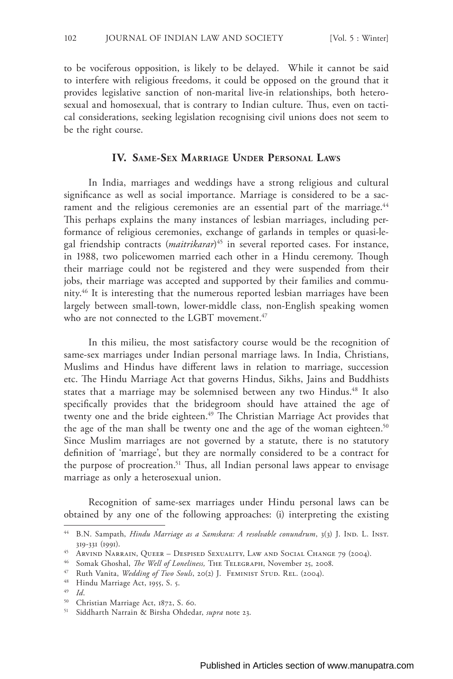to be vociferous opposition, is likely to be delayed. While it cannot be said to interfere with religious freedoms, it could be opposed on the ground that it provides legislative sanction of non-marital live-in relationships, both heterosexual and homosexual, that is contrary to Indian culture. Thus, even on tactical considerations, seeking legislation recognising civil unions does not seem to be the right course.

# **IV. Same-Sex Marriage Under Personal Laws**

In India, marriages and weddings have a strong religious and cultural significance as well as social importance. Marriage is considered to be a sacrament and the religious ceremonies are an essential part of the marriage.<sup>44</sup> This perhaps explains the many instances of lesbian marriages, including performance of religious ceremonies, exchange of garlands in temples or quasi-legal friendship contracts (*maitrikarar*) 45 in several reported cases. For instance, in 1988, two policewomen married each other in a Hindu ceremony. Though their marriage could not be registered and they were suspended from their jobs, their marriage was accepted and supported by their families and community.46 It is interesting that the numerous reported lesbian marriages have been largely between small-town, lower-middle class, non-English speaking women who are not connected to the LGBT movement.<sup>47</sup>

In this milieu, the most satisfactory course would be the recognition of same-sex marriages under Indian personal marriage laws. In India, Christians, Muslims and Hindus have different laws in relation to marriage, succession etc. The Hindu Marriage Act that governs Hindus, Sikhs, Jains and Buddhists states that a marriage may be solemnised between any two Hindus.<sup>48</sup> It also specifically provides that the bridegroom should have attained the age of twenty one and the bride eighteen.<sup>49</sup> The Christian Marriage Act provides that the age of the man shall be twenty one and the age of the woman eighteen.<sup>50</sup> Since Muslim marriages are not governed by a statute, there is no statutory definition of 'marriage', but they are normally considered to be a contract for the purpose of procreation.<sup>51</sup> Thus, all Indian personal laws appear to envisage marriage as only a heterosexual union.

Recognition of same-sex marriages under Hindu personal laws can be obtained by any one of the following approaches: (i) interpreting the existing

<sup>46</sup> Somak Ghoshal, *The Well of Loneliness,* The Telegraph, November 25, 2008.

<sup>&</sup>lt;sup>44</sup> B.N. Sampath, *Hindu Marriage as a Samskara: A resolvable conundrum*, 3(3) J. IND. L. INST. 319-331 (1991).

<sup>45</sup> Arvind Narrain, Queer – Despised Sexuality, Law and Social Change 79 (2004).

<sup>&</sup>lt;sup>47</sup> Ruth Vanita, *Wedding of Two Souls*, 20(2) J. FEMINIST STUD. REL. (2004).

<sup>48</sup> Hindu Marriage Act, 1955, S. 5.

<sup>49</sup> *Id*.

<sup>50</sup> Christian Marriage Act, 1872, S. 60.

<sup>51</sup> Siddharth Narrain & Birsha Ohdedar, *supra* note 23.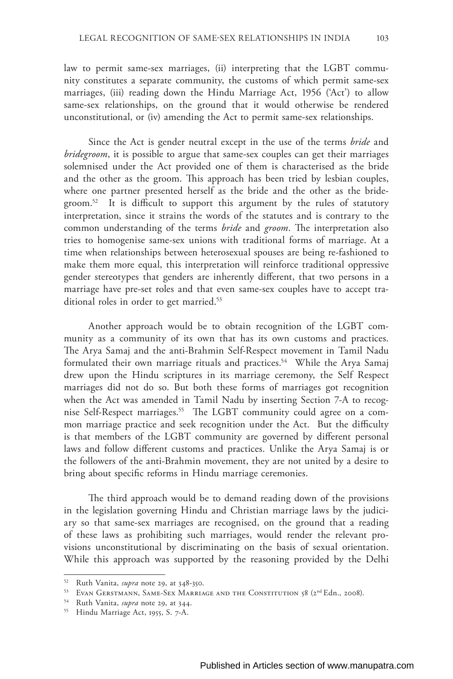law to permit same-sex marriages, (ii) interpreting that the LGBT community constitutes a separate community, the customs of which permit same-sex marriages, (iii) reading down the Hindu Marriage Act, 1956 ('Act') to allow same-sex relationships, on the ground that it would otherwise be rendered unconstitutional, or (iv) amending the Act to permit same-sex relationships.

Since the Act is gender neutral except in the use of the terms *bride* and *bridegroom*, it is possible to argue that same-sex couples can get their marriages solemnised under the Act provided one of them is characterised as the bride and the other as the groom. This approach has been tried by lesbian couples, where one partner presented herself as the bride and the other as the bridegroom.<sup>52</sup> It is difficult to support this argument by the rules of statutory interpretation, since it strains the words of the statutes and is contrary to the common understanding of the terms *bride* and *groom*. The interpretation also tries to homogenise same-sex unions with traditional forms of marriage. At a time when relationships between heterosexual spouses are being re-fashioned to make them more equal, this interpretation will reinforce traditional oppressive gender stereotypes that genders are inherently different, that two persons in a marriage have pre-set roles and that even same-sex couples have to accept traditional roles in order to get married.<sup>53</sup>

Another approach would be to obtain recognition of the LGBT community as a community of its own that has its own customs and practices. The Arya Samaj and the anti-Brahmin Self-Respect movement in Tamil Nadu formulated their own marriage rituals and practices.<sup>54</sup> While the Arya Samaj drew upon the Hindu scriptures in its marriage ceremony, the Self Respect marriages did not do so. But both these forms of marriages got recognition when the Act was amended in Tamil Nadu by inserting Section 7-A to recognise Self-Respect marriages.55 The LGBT community could agree on a common marriage practice and seek recognition under the Act. But the difficulty is that members of the LGBT community are governed by different personal laws and follow different customs and practices. Unlike the Arya Samaj is or the followers of the anti-Brahmin movement, they are not united by a desire to bring about specific reforms in Hindu marriage ceremonies.

The third approach would be to demand reading down of the provisions in the legislation governing Hindu and Christian marriage laws by the judiciary so that same-sex marriages are recognised, on the ground that a reading of these laws as prohibiting such marriages, would render the relevant provisions unconstitutional by discriminating on the basis of sexual orientation. While this approach was supported by the reasoning provided by the Delhi

<sup>52</sup> Ruth Vanita, *supra* note 29, at 348-350.

<sup>&</sup>lt;sup>53</sup> EVAN GERSTMANN, SAME-SEX MARRIAGE AND THE CONSTITUTION 58 (2<sup>nd</sup> Edn., 2008).

<sup>54</sup> Ruth Vanita, *supra* note 29, at 344.

<sup>55</sup> Hindu Marriage Act, 1955, S. 7-A.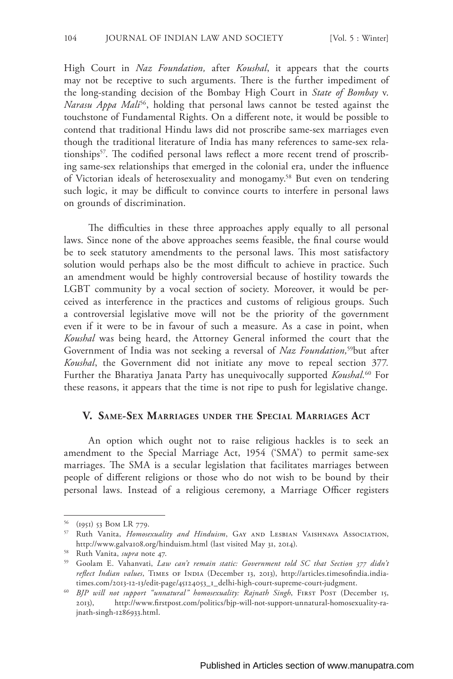High Court in *Naz Foundation,* after *Koushal*, it appears that the courts may not be receptive to such arguments. There is the further impediment of the long-standing decision of the Bombay High Court in *State of Bombay* v. *Narasu Appa Mali<sup>56</sup>*, holding that personal laws cannot be tested against the touchstone of Fundamental Rights. On a different note, it would be possible to contend that traditional Hindu laws did not proscribe same-sex marriages even though the traditional literature of India has many references to same-sex relationships<sup>57</sup>. The codified personal laws reflect a more recent trend of proscribing same-sex relationships that emerged in the colonial era, under the influence of Victorian ideals of heterosexuality and monogamy.58 But even on tendering such logic, it may be difficult to convince courts to interfere in personal laws on grounds of discrimination.

The difficulties in these three approaches apply equally to all personal laws. Since none of the above approaches seems feasible, the final course would be to seek statutory amendments to the personal laws. This most satisfactory solution would perhaps also be the most difficult to achieve in practice. Such an amendment would be highly controversial because of hostility towards the LGBT community by a vocal section of society. Moreover, it would be perceived as interference in the practices and customs of religious groups. Such a controversial legislative move will not be the priority of the government even if it were to be in favour of such a measure. As a case in point, when *Koushal* was being heard, the Attorney General informed the court that the Government of India was not seeking a reversal of *Naz Foundation,*59but after *Koushal*, the Government did not initiate any move to repeal section 377*.*  Further the Bharatiya Janata Party has unequivocally supported *Koushal.*60 For these reasons, it appears that the time is not ripe to push for legislative change.

### **V. Same-Sex Marriages under the Special Marriages Act**

An option which ought not to raise religious hackles is to seek an amendment to the Special Marriage Act, 1954 ('SMA') to permit same-sex marriages. The SMA is a secular legislation that facilitates marriages between people of different religions or those who do not wish to be bound by their personal laws. Instead of a religious ceremony, a Marriage Officer registers

<sup>56</sup> (1951) 53 Bom LR 779.

<sup>57</sup> Ruth Vanita, *Homosexuality and Hinduism*, Gay and Lesbian Vaishnava Association, http://www.galva108.org/hinduism.html (last visited May 31, 2014).

<sup>58</sup> Ruth Vanita, *supra* note 47.

<sup>59</sup> Goolam E. Vahanvati, *Law can't remain static: Government told SC that Section 377 didn't*  reflect Indian values, TIMES OF INDIA (December 13, 2013), http://articles.timesofindia.indiatimes.com/2013-12-13/edit-page/45124053\_1\_delhi-high-court-supreme-court-judgment.

<sup>&</sup>lt;sup>60</sup> BJP will not support "unnatural" homosexuality: Rajnath Singh, FIRST POST (December 15, 2013), http://www.firstpost.com/politics/bjp-will-not-support-unnatural-homosexuality-rajnath-singh-1286933.html.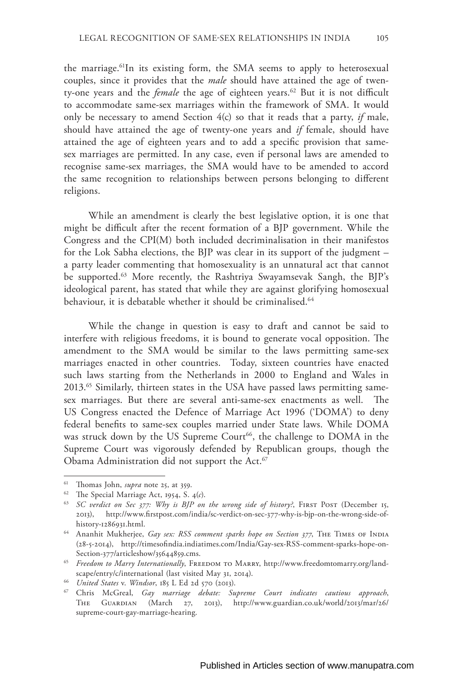the marriage.<sup>61</sup>In its existing form, the SMA seems to apply to heterosexual couples, since it provides that the *male* should have attained the age of twenty-one years and the *female* the age of eighteen years.<sup>62</sup> But it is not difficult to accommodate same-sex marriages within the framework of SMA. It would only be necessary to amend Section 4(c) so that it reads that a party, *if* male, should have attained the age of twenty-one years and *if* female, should have attained the age of eighteen years and to add a specific provision that samesex marriages are permitted. In any case, even if personal laws are amended to recognise same-sex marriages, the SMA would have to be amended to accord the same recognition to relationships between persons belonging to different religions.

While an amendment is clearly the best legislative option, it is one that might be difficult after the recent formation of a BJP government. While the Congress and the CPI(M) both included decriminalisation in their manifestos for the Lok Sabha elections, the BJP was clear in its support of the judgment – a party leader commenting that homosexuality is an unnatural act that cannot be supported.<sup>63</sup> More recently, the Rashtriya Swayamsevak Sangh, the BJP's ideological parent, has stated that while they are against glorifying homosexual behaviour, it is debatable whether it should be criminalised.<sup>64</sup>

While the change in question is easy to draft and cannot be said to interfere with religious freedoms, it is bound to generate vocal opposition. The amendment to the SMA would be similar to the laws permitting same-sex marriages enacted in other countries. Today, sixteen countries have enacted such laws starting from the Netherlands in 2000 to England and Wales in 2013.65 Similarly, thirteen states in the USA have passed laws permitting samesex marriages. But there are several anti-same-sex enactments as well. The US Congress enacted the Defence of Marriage Act 1996 ('DOMA') to deny federal benefits to same-sex couples married under State laws. While DOMA was struck down by the US Supreme Court<sup>66</sup>, the challenge to DOMA in the Supreme Court was vigorously defended by Republican groups, though the Obama Administration did not support the Act.67

<sup>61</sup> Thomas John, *supra* note 25, at 359.

<sup>62</sup> The Special Marriage Act, 1954, S. 4(*c*).

<sup>&</sup>lt;sup>63</sup> SC verdict on Sec 377: Why is BJP on the wrong side of history?, FIRST POST (December 15, 2013), http://www.firstpost.com/india/sc-verdict-on-sec-377-why-is-bjp-on-the-wrong-side-ofhistory-1286931.html.

<sup>&</sup>lt;sup>64</sup> Ananhit Mukherjee, *Gay sex: RSS comment sparks hope on Section 377*, THE TIMES OF INDIA (28-5-2014), http://timesofindia.indiatimes.com/India/Gay-sex-RSS-comment-sparks-hope-on-Section-377/articleshow/35644859.cms.

<sup>&</sup>lt;sup>65</sup> Freedom to Marry Internationally, FREEDOM TO MARRY, http://www.freedomtomarry.org/landscape/entry/c/international (last visited May 31, 2014).

<sup>66</sup> *United States* v. *Windsor*, 185 L Ed 2d 570 (2013).

<sup>67</sup> Chris McGreal, *Gay marriage debate: Supreme Court indicates cautious approach*, The Guardian (March 27, 2013), http://www.guardian.co.uk/world/2013/mar/26/ supreme-court-gay-marriage-hearing.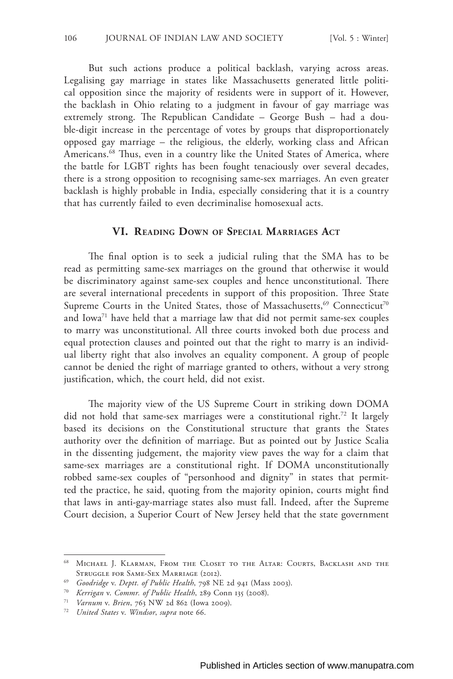But such actions produce a political backlash, varying across areas. Legalising gay marriage in states like Massachusetts generated little political opposition since the majority of residents were in support of it. However, the backlash in Ohio relating to a judgment in favour of gay marriage was extremely strong. The Republican Candidate – George Bush – had a double-digit increase in the percentage of votes by groups that disproportionately opposed gay marriage – the religious, the elderly, working class and African Americans.<sup>68</sup> Thus, even in a country like the United States of America, where the battle for LGBT rights has been fought tenaciously over several decades, there is a strong opposition to recognising same-sex marriages. An even greater backlash is highly probable in India, especially considering that it is a country that has currently failed to even decriminalise homosexual acts.

### **VI. Reading Down of Special Marriages Act**

The final option is to seek a judicial ruling that the SMA has to be read as permitting same-sex marriages on the ground that otherwise it would be discriminatory against same-sex couples and hence unconstitutional. There are several international precedents in support of this proposition. Three State Supreme Courts in the United States, those of Massachusetts,<sup>69</sup> Connecticut<sup>70</sup> and Iowa71 have held that a marriage law that did not permit same-sex couples to marry was unconstitutional. All three courts invoked both due process and equal protection clauses and pointed out that the right to marry is an individual liberty right that also involves an equality component. A group of people cannot be denied the right of marriage granted to others, without a very strong justification, which, the court held, did not exist.

The majority view of the US Supreme Court in striking down DOMA did not hold that same-sex marriages were a constitutional right.72 It largely based its decisions on the Constitutional structure that grants the States authority over the definition of marriage. But as pointed out by Justice Scalia in the dissenting judgement, the majority view paves the way for a claim that same-sex marriages are a constitutional right. If DOMA unconstitutionally robbed same-sex couples of "personhood and dignity" in states that permitted the practice, he said, quoting from the majority opinion, courts might find that laws in anti-gay-marriage states also must fall. Indeed, after the Supreme Court decision, a Superior Court of New Jersey held that the state government

<sup>68</sup> Michael J. Klarman, From the Closet to the Altar: Courts, Backlash and the Struggle for Same-Sex Marriage (2012).

<sup>69</sup> *Goodridge* v. *Deptt. of Public Health*, 798 NE 2d 941 (Mass 2003).

<sup>70</sup> *Kerrigan* v. *Commr. of Public Health*, 289 Conn 135 (2008).

<sup>71</sup> *Varnum* v. *Brien*, 763 NW 2d 862 (Iowa 2009).

<sup>72</sup> *United States* v. *Windsor*, *supra* note 66.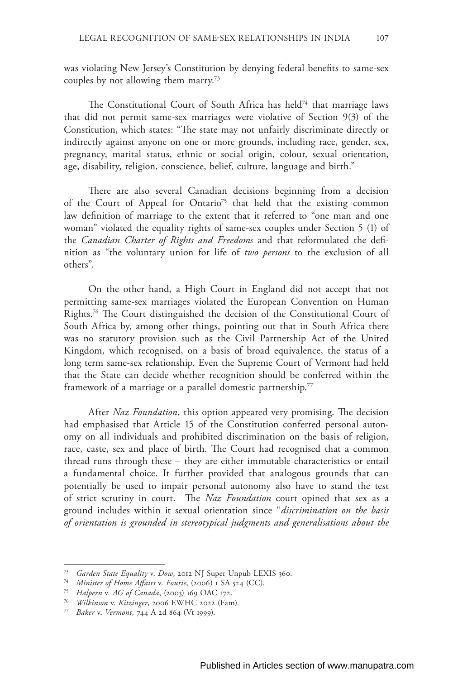was violating New Jersey's Constitution by denying federal benefits to same-sex couples by not allowing them marry.73

The Constitutional Court of South Africa has held<sup>74</sup> that marriage laws that did not permit same-sex marriages were violative of Section 9(3) of the Constitution, which states: "The state may not unfairly discriminate directly or indirectly against anyone on one or more grounds, including race, gender, sex, pregnancy, marital status, ethnic or social origin, colour, sexual orientation, age, disability, religion, conscience, belief, culture, language and birth."

There are also several Canadian decisions beginning from a decision of the Court of Appeal for Ontario<sup>75</sup> that held that the existing common law definition of marriage to the extent that it referred to "one man and one woman" violated the equality rights of same-sex couples under Section 5 (1) of the *Canadian Charter of Rights and Freedoms* and that reformulated the definition as "the voluntary union for life of *two persons* to the exclusion of all others".

On the other hand, a High Court in England did not accept that not permitting same-sex marriages violated the European Convention on Human Rights.76 The Court distinguished the decision of the Constitutional Court of South Africa by, among other things, pointing out that in South Africa there was no statutory provision such as the Civil Partnership Act of the United Kingdom, which recognised, on a basis of broad equivalence, the status of a long term same-sex relationship. Even the Supreme Court of Vermont had held that the State can decide whether recognition should be conferred within the framework of a marriage or a parallel domestic partnership.<sup>77</sup>

After *Naz Foundation*, this option appeared very promising. The decision had emphasised that Article 15 of the Constitution conferred personal autonomy on all individuals and prohibited discrimination on the basis of religion, race, caste, sex and place of birth. The Court had recognised that a common thread runs through these – they are either immutable characteristics or entail a fundamental choice. It further provided that analogous grounds that can potentially be used to impair personal autonomy also have to stand the test of strict scrutiny in court. The *Naz Foundation* court opined that sex as a ground includes within it sexual orientation since "*discrimination on the basis of orientation is grounded in stereotypical judgments and generalisations about the* 

<sup>73</sup> *Garden State Equality* v. *Dow*, 2012 NJ Super Unpub LEXIS 360.

<sup>74</sup> *Minister of Home Affairs* v. *Fourie*, (2006) 1 SA 524 (CC).

<sup>75</sup> *Halpern* v. *AG of Canada*, (2003) 169 OAC 172.

<sup>76</sup> *Wilkinson* v. *Kitzinger*, 2006 EWHC 2022 (Fam).

<sup>77</sup> *Baker* v. *Vermont*, 744 A 2d 864 (Vt 1999).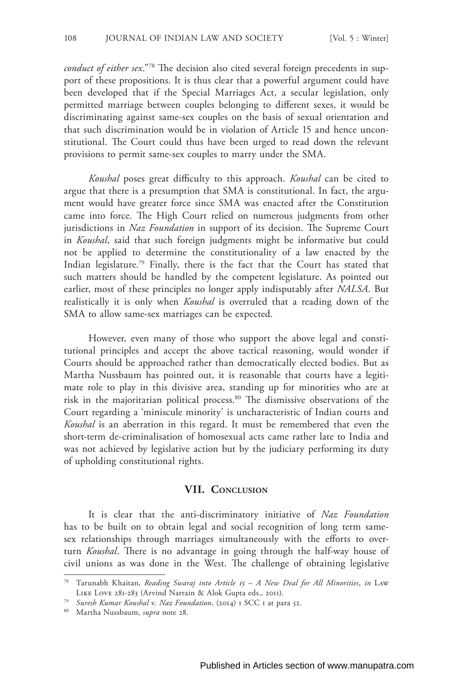*conduct of either sex*."78 The decision also cited several foreign precedents in support of these propositions. It is thus clear that a powerful argument could have been developed that if the Special Marriages Act, a secular legislation, only permitted marriage between couples belonging to different sexes, it would be discriminating against same-sex couples on the basis of sexual orientation and that such discrimination would be in violation of Article 15 and hence unconstitutional. The Court could thus have been urged to read down the relevant provisions to permit same-sex couples to marry under the SMA.

*Koushal* poses great difficulty to this approach. *Koushal* can be cited to argue that there is a presumption that SMA is constitutional. In fact, the argument would have greater force since SMA was enacted after the Constitution came into force. The High Court relied on numerous judgments from other jurisdictions in *Naz Foundation* in support of its decision. The Supreme Court in *Koushal*, said that such foreign judgments might be informative but could not be applied to determine the constitutionality of a law enacted by the Indian legislature.79 Finally, there is the fact that the Court has stated that such matters should be handled by the competent legislature. As pointed out earlier, most of these principles no longer apply indisputably after *NALSA*. But realistically it is only when *Koushal* is overruled that a reading down of the SMA to allow same-sex marriages can be expected.

However, even many of those who support the above legal and constitutional principles and accept the above tactical reasoning, would wonder if Courts should be approached rather than democratically elected bodies. But as Martha Nussbaum has pointed out, it is reasonable that courts have a legitimate role to play in this divisive area, standing up for minorities who are at risk in the majoritarian political process.80 The dismissive observations of the Court regarding a 'miniscule minority' is uncharacteristic of Indian courts and *Koushal* is an aberration in this regard. It must be remembered that even the short-term de-criminalisation of homosexual acts came rather late to India and was not achieved by legislative action but by the judiciary performing its duty of upholding constitutional rights.

#### **VII. Conclusion**

It is clear that the anti-discriminatory initiative of *Naz Foundation* has to be built on to obtain legal and social recognition of long term samesex relationships through marriages simultaneously with the efforts to overturn *Koushal*. There is no advantage in going through the half-way house of civil unions as was done in the West. The challenge of obtaining legislative

<sup>78</sup> Tarunabh Khaitan, *Reading Swaraj into Article 15 – A New Deal for All Minorities*, *in* Law Like Love 281-283 (Arvind Narrain & Alok Gupta eds., 2011).

<sup>79</sup> *Suresh Kumar Koushal* v. *Naz Foundation*, (2014) 1 SCC 1 at para 52.

<sup>80</sup> Martha Nussbaum, *supra* note 28*.*